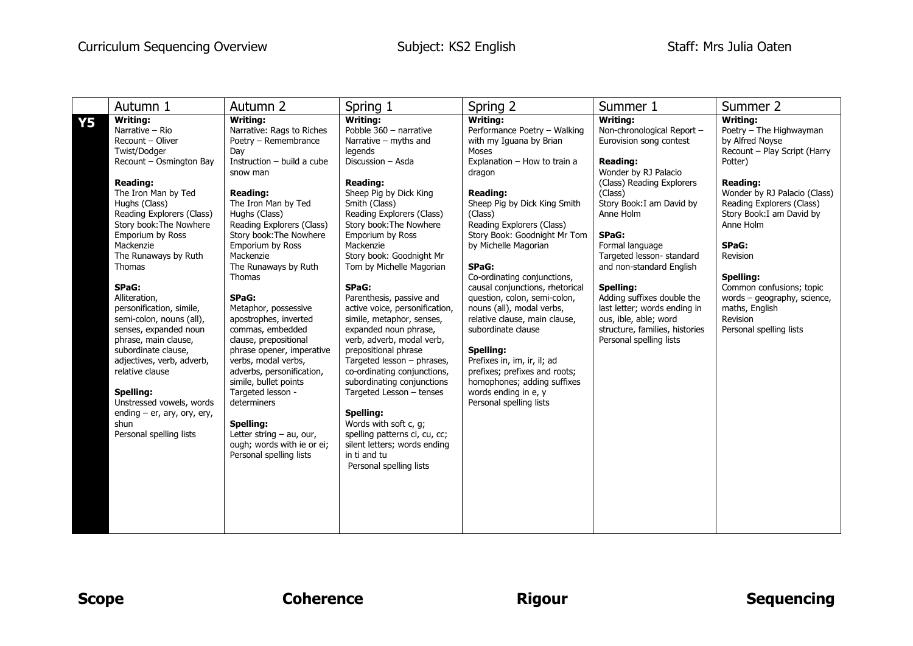|           | Autumn 1                                                                                                                                                                                                                                                                                                                                                                                                                                                                                                                                                                                              | Autumn 2                                                                                                                                                                                                                                                                                                                                                                                                                                                                                                                                                                                                                                                                    | Spring 1                                                                                                                                                                                                                                                                                                                                                                                                                                                                                                                                                                                                                                                                                                                                                                     | Spring 2                                                                                                                                                                                                                                                                                                                                                                                                                                                                                                                                                                                                                                       | Summer 1                                                                                                                                                                                                                                                                                                                                                                                                                                                    | Summer 2                                                                                                                                                                                                                                                                                                                                                                                 |
|-----------|-------------------------------------------------------------------------------------------------------------------------------------------------------------------------------------------------------------------------------------------------------------------------------------------------------------------------------------------------------------------------------------------------------------------------------------------------------------------------------------------------------------------------------------------------------------------------------------------------------|-----------------------------------------------------------------------------------------------------------------------------------------------------------------------------------------------------------------------------------------------------------------------------------------------------------------------------------------------------------------------------------------------------------------------------------------------------------------------------------------------------------------------------------------------------------------------------------------------------------------------------------------------------------------------------|------------------------------------------------------------------------------------------------------------------------------------------------------------------------------------------------------------------------------------------------------------------------------------------------------------------------------------------------------------------------------------------------------------------------------------------------------------------------------------------------------------------------------------------------------------------------------------------------------------------------------------------------------------------------------------------------------------------------------------------------------------------------------|------------------------------------------------------------------------------------------------------------------------------------------------------------------------------------------------------------------------------------------------------------------------------------------------------------------------------------------------------------------------------------------------------------------------------------------------------------------------------------------------------------------------------------------------------------------------------------------------------------------------------------------------|-------------------------------------------------------------------------------------------------------------------------------------------------------------------------------------------------------------------------------------------------------------------------------------------------------------------------------------------------------------------------------------------------------------------------------------------------------------|------------------------------------------------------------------------------------------------------------------------------------------------------------------------------------------------------------------------------------------------------------------------------------------------------------------------------------------------------------------------------------------|
| <b>Y5</b> | Writing:<br>Narrative - Rio<br>Recount - Oliver<br>Twist/Dodger<br>Recount - Osmington Bay<br><b>Reading:</b><br>The Iron Man by Ted<br>Hughs (Class)<br>Reading Explorers (Class)<br>Story book: The Nowhere<br>Emporium by Ross<br>Mackenzie<br>The Runaways by Ruth<br>Thomas<br>SPaG:<br>Alliteration,<br>personification, simile,<br>semi-colon, nouns (all),<br>senses, expanded noun<br>phrase, main clause,<br>subordinate clause,<br>adjectives, verb, adverb,<br>relative clause<br>Spelling:<br>Unstressed vowels, words<br>ending - er, ary, ory, ery,<br>shun<br>Personal spelling lists | Writina:<br>Narrative: Rags to Riches<br>Poetry - Remembrance<br>Day<br>Instruction - build a cube<br>snow man<br><b>Reading:</b><br>The Iron Man by Ted<br>Hughs (Class)<br>Reading Explorers (Class)<br>Story book: The Nowhere<br><b>Emporium by Ross</b><br>Mackenzie<br>The Runaways by Ruth<br>Thomas<br>SPaG:<br>Metaphor, possessive<br>apostrophes, inverted<br>commas, embedded<br>clause, prepositional<br>phrase opener, imperative<br>verbs, modal verbs,<br>adverbs, personification,<br>simile, bullet points<br>Targeted lesson -<br>determiners<br><b>Spelling:</b><br>Letter string $-$ au, our,<br>ough; words with ie or ei;<br>Personal spelling lists | <b>Writina:</b><br>Pobble 360 - narrative<br>Narrative - myths and<br>legends<br>Discussion - Asda<br><b>Reading:</b><br>Sheep Pig by Dick King<br>Smith (Class)<br>Reading Explorers (Class)<br>Story book: The Nowhere<br>Emporium by Ross<br>Mackenzie<br>Story book: Goodnight Mr<br>Tom by Michelle Magorian<br>SPaG:<br>Parenthesis, passive and<br>active voice, personification,<br>simile, metaphor, senses,<br>expanded noun phrase,<br>verb, adverb, modal verb,<br>prepositional phrase<br>Targeted lesson - phrases,<br>co-ordinating conjunctions,<br>subordinating conjunctions<br>Targeted Lesson - tenses<br>Spelling:<br>Words with soft c, g;<br>spelling patterns ci, cu, cc;<br>silent letters; words ending<br>in ti and tu<br>Personal spelling lists | <b>Writing:</b><br>Performance Poetry - Walking<br>with my Iguana by Brian<br>Moses<br>Explanation - How to train a<br>dragon<br><b>Reading:</b><br>Sheep Pig by Dick King Smith<br>(Class)<br>Reading Explorers (Class)<br>Story Book: Goodnight Mr Tom<br>by Michelle Magorian<br>SPaG:<br>Co-ordinating conjunctions,<br>causal conjunctions, rhetorical<br>question, colon, semi-colon,<br>nouns (all), modal verbs,<br>relative clause, main clause,<br>subordinate clause<br>Spelling:<br>Prefixes in, im, ir, il; ad<br>prefixes; prefixes and roots;<br>homophones; adding suffixes<br>words ending in e, y<br>Personal spelling lists | <b>Writina:</b><br>Non-chronological Report -<br>Eurovision song contest<br><b>Reading:</b><br>Wonder by RJ Palacio<br>(Class) Reading Explorers<br>(Class)<br>Story Book: I am David by<br>Anne Holm<br>SPaG:<br>Formal language<br>Targeted lesson- standard<br>and non-standard English<br>Spelling:<br>Adding suffixes double the<br>last letter; words ending in<br>ous, ible, able; word<br>structure, families, histories<br>Personal spelling lists | <b>Writing:</b><br>Poetry - The Highwayman<br>by Alfred Noyse<br>Recount - Play Script (Harry<br>Potter)<br><b>Reading:</b><br>Wonder by RJ Palacio (Class)<br>Reading Explorers (Class)<br>Story Book: I am David by<br>Anne Holm<br>SPaG:<br>Revision<br>Spelling:<br>Common confusions; topic<br>words - geography, science,<br>maths, English<br>Revision<br>Personal spelling lists |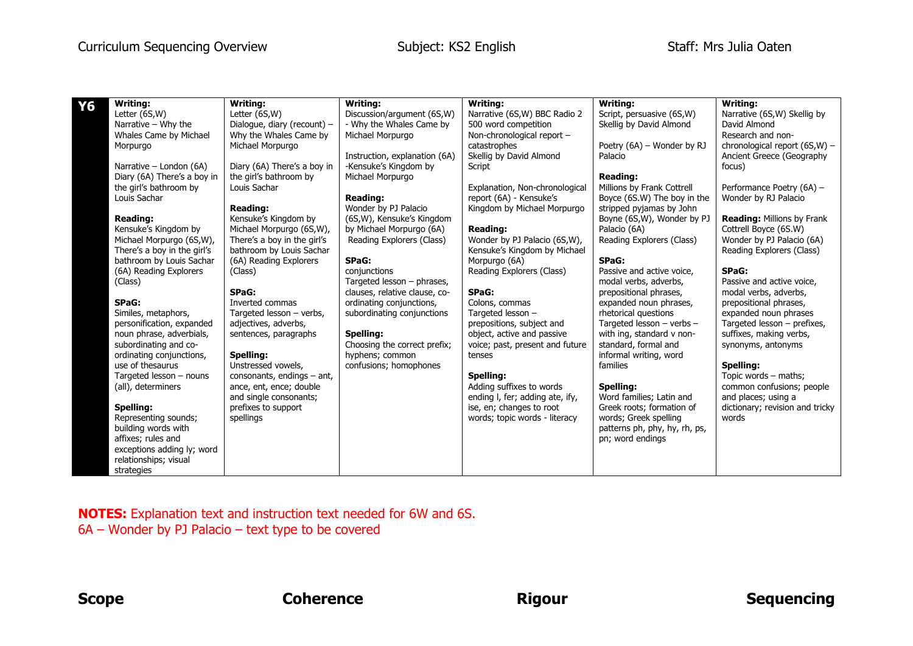## Curriculum Sequencing Overview Subject: KS2 English Staff: Mrs Julia Oaten

| Y6 | <b>Writing:</b>             | <b>Writing:</b>              | <b>Writina:</b>               | <b>Writing:</b>                 | Writina:                      | <b>Writing:</b>                   |
|----|-----------------------------|------------------------------|-------------------------------|---------------------------------|-------------------------------|-----------------------------------|
|    | Letter (6S,W)               | Letter (6S,W)                | Discussion/argument (6S,W)    | Narrative (6S, W) BBC Radio 2   | Script, persuasive (6S,W)     | Narrative (6S,W) Skellig by       |
|    | Narrative - Why the         | Dialogue, diary (recount) -  | - Why the Whales Came by      | 500 word competition            | Skellig by David Almond       | David Almond                      |
|    | Whales Came by Michael      | Why the Whales Came by       | Michael Morpurgo              | Non-chronological report -      |                               | Research and non-                 |
|    | Morpurgo                    | Michael Morpurgo             |                               | catastrophes                    | Poetry (6A) - Wonder by RJ    | chronological report (6S,W) -     |
|    |                             |                              | Instruction, explanation (6A) | Skellig by David Almond         | Palacio                       | Ancient Greece (Geography         |
|    | Narrative - London (6A)     | Diary (6A) There's a boy in  | -Kensuke's Kingdom by         | Script                          |                               | focus)                            |
|    | Diary (6A) There's a boy in | the girl's bathroom by       | Michael Morpurgo              |                                 | <b>Reading:</b>               |                                   |
|    | the girl's bathroom by      | Louis Sachar                 |                               | Explanation, Non-chronological  | Millions by Frank Cottrell    | Performance Poetry (6A) -         |
|    | Louis Sachar                |                              | <b>Reading:</b>               | report (6A) - Kensuke's         | Boyce (6S.W) The boy in the   | Wonder by RJ Palacio              |
|    |                             | <b>Reading:</b>              | Wonder by PJ Palacio          | Kingdom by Michael Morpurgo     | stripped pyjamas by John      |                                   |
|    | <b>Reading:</b>             | Kensuke's Kingdom by         | (6S,W), Kensuke's Kingdom     |                                 | Boyne (6S,W), Wonder by PJ    | <b>Reading: Millions by Frank</b> |
|    | Kensuke's Kingdom by        | Michael Morpurgo (6S,W),     | by Michael Morpurgo (6A)      | <b>Reading:</b>                 | Palacio (6A)                  | Cottrell Boyce (6S.W)             |
|    | Michael Morpurgo (6S,W),    | There's a boy in the girl's  | Reading Explorers (Class)     | Wonder by PJ Palacio (6S,W),    | Reading Explorers (Class)     | Wonder by PJ Palacio (6A)         |
|    | There's a boy in the girl's | bathroom by Louis Sachar     |                               | Kensuke's Kingdom by Michael    |                               | Reading Explorers (Class)         |
|    | bathroom by Louis Sachar    | (6A) Reading Explorers       | SPaG:                         | Morpurgo (6A)                   | SPaG:                         |                                   |
|    | (6A) Reading Explorers      | (Class)                      | conjunctions                  | Reading Explorers (Class)       | Passive and active voice,     | SPaG:                             |
|    | (Class)                     |                              | Targeted lesson - phrases,    |                                 | modal verbs, adverbs,         | Passive and active voice.         |
|    |                             | SPaG:                        | clauses, relative clause, co- | SPaG:                           | prepositional phrases,        | modal verbs, adverbs,             |
|    | SPaG:                       | Inverted commas              | ordinating conjunctions,      | Colons, commas                  | expanded noun phrases,        | prepositional phrases,            |
|    | Similes, metaphors,         | Targeted lesson - verbs,     | subordinating conjunctions    | Targeted lesson -               | rhetorical questions          | expanded noun phrases             |
|    | personification, expanded   | adjectives, adverbs,         |                               | prepositions, subject and       | Targeted lesson - verbs -     | Targeted lesson - prefixes,       |
|    | noun phrase, adverbials,    | sentences, paragraphs        | Spelling:                     | object, active and passive      | with ing, standard v non-     | suffixes, making verbs,           |
|    | subordinating and co-       |                              | Choosing the correct prefix;  | voice; past, present and future | standard, formal and          | synonyms, antonyms                |
|    | ordinating conjunctions,    | Spelling:                    | hyphens; common               | tenses                          | informal writing, word        |                                   |
|    | use of thesaurus            | Unstressed vowels.           | confusions; homophones        |                                 | families                      | Spelling:                         |
|    | Targeted lesson - nouns     | consonants, endings $-$ ant, |                               | Spelling:                       |                               | Topic words - maths;              |
|    | (all), determiners          | ance, ent, ence; double      |                               | Adding suffixes to words        | Spelling:                     | common confusions; people         |
|    |                             | and single consonants;       |                               | ending I, fer; adding ate, ify, | Word families; Latin and      | and places; using a               |
|    | Spelling:                   | prefixes to support          |                               | ise, en; changes to root        | Greek roots; formation of     | dictionary; revision and tricky   |
|    | Representing sounds;        | spellings                    |                               | words; topic words - literacy   | words; Greek spelling         | words                             |
|    | building words with         |                              |                               |                                 | patterns ph, phy, hy, rh, ps, |                                   |
|    | affixes; rules and          |                              |                               |                                 | pn; word endings              |                                   |
|    | exceptions adding ly; word  |                              |                               |                                 |                               |                                   |
|    | relationships; visual       |                              |                               |                                 |                               |                                   |
|    | strategies                  |                              |                               |                                 |                               |                                   |

**NOTES:** Explanation text and instruction text needed for 6W and 6S. 6A – Wonder by PJ Palacio – text type to be covered